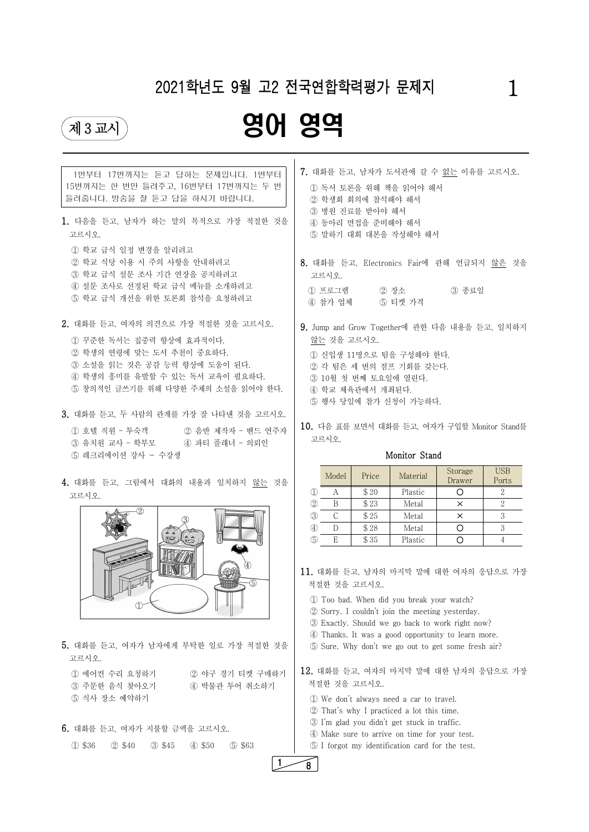# 2021학년도 9월 고2 전국연합학력평가 문제지 2021학년도 9월 고2 전국연합학력평가 문제지

# 제3교시 영어 영역



5. 대화를 듣고, 여자가 남자에게 부탁한 일로 가장 적절한 것을 고르시오.

| 1번부터 17번까지는 듣고 답하는 문제입니다. 1번부터<br>15번까지는 한 번만 들려주고, 16번부터 17번까지는 두 번<br>들려줍니다. 방송을 잘 듣고 답을 하시기 바랍니다.<br>1. 다음을 듣고, 남자가 하는 말의 목적으로 가장 적절한 것을<br>고르시오.                                                   | 7. 대화를 듣고, 남자가 도서관에 갈 수 없는 이유를 고르시오.<br>1 독서 토론을 위해 책을 읽어야 해서<br>2 학생회 회의에 참석해야 해서<br>3 병원 진료를 받아야 해서<br>4 동아리 면접을 준비해야 해서<br>5 말하기 대회 대본을 작성해야 해서                                                               |
|--------------------------------------------------------------------------------------------------------------------------------------------------------------------------------------------------------|------------------------------------------------------------------------------------------------------------------------------------------------------------------------------------------------------------------|
| 1 학교 급식 일정 변경을 알리려고<br>② 학교 식당 이용 시 주의 사항을 안내하려고<br>3 학교 급식 설문 조사 기간 연장을 공지하려고<br>4 설문 조사로 선정된 학교 급식 메뉴를 소개하려고<br>5 학교 급식 개선을 위한 토론회 참석을 요청하려고                                                         | 8. 대화를 듣고, Electronics Fair에 관해 언급되지 않은 것을<br>고르시오.<br>1) 프로그램<br>② 장소 (3) 종료일<br>4) 참가 업체<br>5 티켓 가격                                                                                                            |
| 2. 대화를 듣고, 여자의 의견으로 가장 적절한 것을 고르시오.<br>1 꾸준한 독서는 집중력 향상에 효과적이다.<br>2 학생의 연령에 맞는 도서 추천이 중요하다.<br>3 소설을 읽는 것은 공감 능력 향상에 도움이 된다.<br>4 학생의 흥미를 유발할 수 있는 독서 교육이 필요하다.<br>5 창의적인 글쓰기를 위해 다양한 주제의 소설을 읽어야 한다. | 9. Jump and Grow Together에 관한 다음 내용을 듣고, 일치하지<br>않는 것을 고르시오.<br>1 신입생 11명으로 팀을 구성해야 한다.<br>2 각 팀은 세 번의 점프 기회를 갖는다.<br>3 10월 첫 번째 토요일에 열린다.<br>4 학교 체육관에서 개최된다.<br>5 행사 당일에 참가 신청이 가능하다.                          |
| 3. 대화를 듣고, 두 사람의 관계를 가장 잘 나타낸 것을 고르시오.<br>1 호텔 직원 - 투숙객 2 음반 제작자 - 밴드 연주자<br>3 유치원 교사 - 학부모<br>④ 파티 플래너 - 의뢰인<br>5 레크리에이션 강사 - 수강생                                                                     | 10. 다음 표를 보면서 대화를 듣고, 여자가 구입할 Monitor Stand를<br>고르시오.<br>Monitor Stand                                                                                                                                           |
| 4. 대화를 듣고, 그림에서 대화의 내용과 일치하지 않는 것을<br>고르시오.                                                                                                                                                            | <b>USB</b><br>Storage<br>Material<br>Model<br>Price<br>Drawer<br>Ports<br>\$20<br>$\overline{2}$<br>Plastic<br>$\circ$<br>$\mathbb{D}$<br>A<br>$\overline{2}$<br>\$23<br>$\circled{2}$<br>B<br>$\times$<br>Metal |



① 에어컨 수리 요청하기 ② 야구 경기 티켓 구매하기 ③ 주문한 음식 찾아오기 ④ 박물관 투어 취소하기 ⑤ 식사 장소 예약하기

6. 대화를 듣고, 여자가 지불할 금액을 고르시오. ① \$36 ② \$40 ③ \$45 ④ \$50 ⑤ \$63 ③ C\$ 25 Metal × 3 ④ D \$ 28 Metal ○ 3

11. 대화를 듣고, 남자의 마지막 말에 대한 여자의 응답으로 가장 적절한 것을 고르시오.

**6** E | \$35 | Plastic | O | 4

① Too bad. When did you break your watch?

② Sorry. I couldn't join the meeting yesterday.

③ Exactly. Should we go back to work right now?

④ Thanks. It was a good opportunity to learn more. ⑤ Sure. Why don't we go out to get some fresh air?

12. 대화를 듣고, 여자의 마지막 말에 대한 남자의 응답으로 가장 적절한 것을 고르시오.

① We don't always need a car to travel. ② That's why I practiced a lot this time. ③ I'm glad you didn't get stuck in traffic. ④ Make sure to arrive on time for your test. ⑤ I forgot my identification card for the test. 1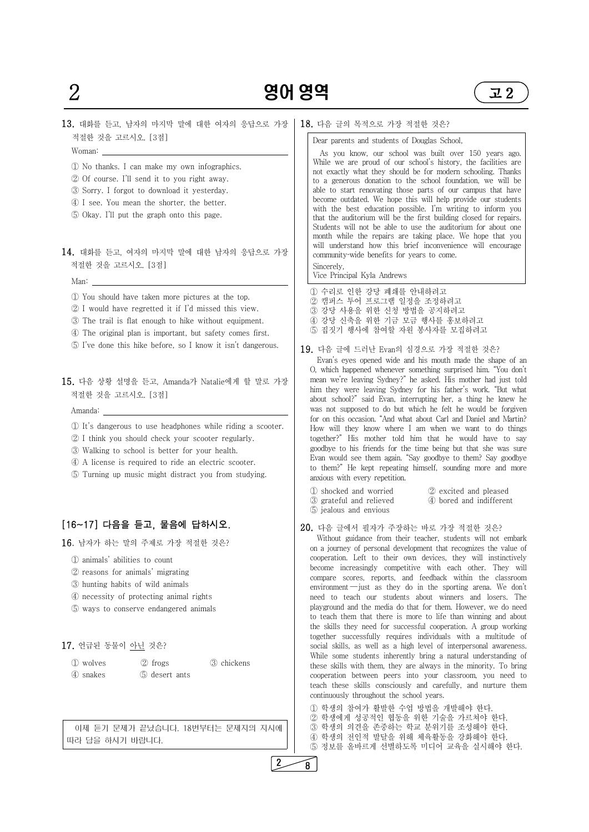

- ② reasons for animals' migrating
- ③ hunting habits of wild animals
- ④ necessity of protecting animal rights
- ⑤ ways to conserve endangered animals

## 17. 언급된 동물이 아닌 것은?

① wolves ② frogs ③ chickens ④ snakes ⑤ desert ants

 이제 듣기 문제가 끝났습니다. 18번부터는 문제지의 지시에 따라 답을 하시기 바랍니다.

|                                                                                                                                                                                                                                                                                                                                                                                                                                   | 엿역<br>고 2                                                                                                                                                                                                                                                                                                                                                                                                                                                                                                                                                                                                                                                                                                                                                                                                                                                                 |
|-----------------------------------------------------------------------------------------------------------------------------------------------------------------------------------------------------------------------------------------------------------------------------------------------------------------------------------------------------------------------------------------------------------------------------------|---------------------------------------------------------------------------------------------------------------------------------------------------------------------------------------------------------------------------------------------------------------------------------------------------------------------------------------------------------------------------------------------------------------------------------------------------------------------------------------------------------------------------------------------------------------------------------------------------------------------------------------------------------------------------------------------------------------------------------------------------------------------------------------------------------------------------------------------------------------------------|
| 13. 대화를 듣고, 남자의 마지막 말에 대한 여자의 응답으로 가장                                                                                                                                                                                                                                                                                                                                                                                             | 18. 다음 글의 목적으로 가장 적절한 것은?                                                                                                                                                                                                                                                                                                                                                                                                                                                                                                                                                                                                                                                                                                                                                                                                                                                 |
| 적절한 것을 고르시오. [3점]<br>Woman:<br>1 No thanks. I can make my own infographics.<br>2 Of course. I'll send it to you right away.<br>3 Sorry. I forgot to download it yesterday.<br>4 I see. You mean the shorter, the better.                                                                                                                                                                                                          | Dear parents and students of Douglas School,<br>As you know, our school was built over 150 years ago.<br>While we are proud of our school's history, the facilities are<br>not exactly what they should be for modern schooling. Thanks<br>to a generous donation to the school foundation, we will be<br>able to start renovating those parts of our campus that have<br>become outdated. We hope this will help provide our students                                                                                                                                                                                                                                                                                                                                                                                                                                    |
| 5 Okay. I'll put the graph onto this page.<br>14. 대화를 듣고, 여자의 마지막 말에 대한 남자의 응답으로 가장<br>적절한 것을 고르시오. [3점]                                                                                                                                                                                                                                                                                                                          | with the best education possible. I'm writing to inform you<br>that the auditorium will be the first building closed for repairs.<br>Students will not be able to use the auditorium for about one<br>month while the repairs are taking place. We hope that you<br>will understand how this brief inconvenience will encourage<br>community-wide benefits for years to come.<br>Sincerely,<br>Vice Principal Kyla Andrews                                                                                                                                                                                                                                                                                                                                                                                                                                                |
| Man:<br><u> 1989 - Johann Barn, mars ann an t-Amhain Aonaich an t-Aonaich an t-Aonaich an t-Aonaich an t-Aonaich an t-Aon</u><br>1) You should have taken more pictures at the top.<br>2 I would have regretted it if I'd missed this view.<br>3 The trail is flat enough to hike without equipment.<br>4) The original plan is important, but safety comes first.<br>5 I've done this hike before, so I know it isn't dangerous. | 1 수리로 인한 강당 폐쇄를 안내하려고<br>2 캠퍼스 투어 프로그램 일정을 조정하려고<br>3 강당 사용을 위한 신청 방법을 공지하려고<br>4 강당 신축을 위한 기금 모금 행사를 홍보하려고<br>5 집짓기 행사에 참여할 자원 봉사자를 모집하려고                                                                                                                                                                                                                                                                                                                                                                                                                                                                                                                                                                                                                                                                                                                                |
| 15. 다음 상황 설명을 듣고, Amanda가 Natalie에게 할 말로 가장<br>적절한 것을 고르시오. [3점]<br>Amanda:<br>1) It's dangerous to use headphones while riding a scooter.<br>2 I think you should check your scooter regularly.<br>3 Walking to school is better for your health.<br>4 A license is required to ride an electric scooter.<br>5 Turning up music might distract you from studying.                                                                | 19. 다음 글에 드러난 Evan의 심경으로 가장 적절한 것은?<br>Evan's eyes opened wide and his mouth made the shape of an<br>O, which happened whenever something surprised him. "You don't<br>mean we're leaving Sydney?" he asked. His mother had just told<br>him they were leaving Sydney for his father's work. "But what<br>about school?" said Evan, interrupting her, a thing he knew he<br>was not supposed to do but which he felt he would be forgiven<br>for on this occasion. "And what about Carl and Daniel and Martin?<br>How will they know where I am when we want to do things<br>together?" His mother told him that he would have to say<br>goodbye to his friends for the time being but that she was sure<br>Evan would see them again. "Say goodbye to them? Say goodbye<br>to them?" He kept repeating himself, sounding more and more<br>anxious with every repetition. |
|                                                                                                                                                                                                                                                                                                                                                                                                                                   | 1 shocked and worried<br>2 excited and pleased<br>3 grateful and relieved<br>4 bored and indifferent<br>5 jealous and envious                                                                                                                                                                                                                                                                                                                                                                                                                                                                                                                                                                                                                                                                                                                                             |
| [16~17] 다음을 듣고, 물음에 답하시오.<br>16. 남자가 하는 말의 주제로 가장 적절한 것은?<br>1 animals' abilities to count                                                                                                                                                                                                                                                                                                                                        | 20. 다음 글에서 필자가 주장하는 바로 가장 적절한 것은?<br>Without guidance from their teacher, students will not embark<br>on a journey of personal development that recognizes the value of<br>cooperation. Left to their own devices, they will instinctively<br>become increasingly competitive with each other. They will                                                                                                                                                                                                                                                                                                                                                                                                                                                                                                                                                                  |

compare scores, reports, and feedback within the classroom environment ―just as they do in the sporting arena. We don't need to teach our students about winners and losers. The playground and the media do that for them. However, we do need to teach them that there is more to life than winning and about

the skills they need for successful cooperation. A group working together successfully requires individuals with a multitude of social skills, as well as a high level of interpersonal awareness. While some students inherently bring a natural understanding of these skills with them, they are always in the minority. To bring cooperation between peers into your classroom, you need to teach these skills consciously and carefully, and nurture them continuously throughout the school years.

① 학생의 참여가 활발한 수업 방법을 개발해야 한다. ② 학생에게 성공적인 협동을 위한 기술을 가르쳐야 한다. ③ 학생의 의견을 존중하는 학교 분위기를 조성해야 한다. ④ 학생의 전인적 발달을 위해 체육활동을 강화해야 한다. ⑤ 정보를 올바르게 선별하도록 미디어 교육을 실시해야 한다.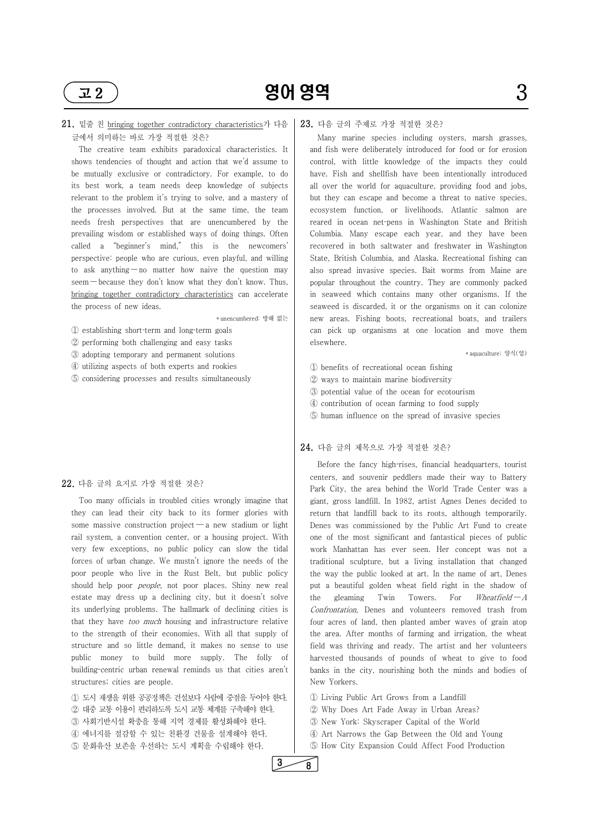

# 21. 밑줄 친 bringing together contradictory characteristics가 다음 글에서 의미하는 바로 가장 적절한 것은?

 The creative team exhibits paradoxical characteristics. It shows tendencies of thought and action that we'd assume to be mutually exclusive or contradictory. For example, to do its best work, a team needs deep knowledge of subjects relevant to the problem it's trying to solve, and a mastery of the processes involved. But at the same time, the team needs fresh perspectives that are unencumbered by the prevailing wisdom or established ways of doing things. Often called a "beginner's mind," this is the newcomers' perspective: people who are curious, even playful, and willing to ask anything — no matter how naive the question may seem — because they don't know what they don't know. Thus, bringing together contradictory characteristics can accelerate the process of new ideas.

 Too many officials in troubled cities wrongly imagine that they can lead their city back to its former glories with some massive construction project — a new stadium or light rail system, a convention center, or a housing project. With very few exceptions, no public policy can slow the tidal forces of urban change. We mustn't ignore the needs of the poor people who live in the Rust Belt, but public policy should help poor *people*, not poor places. Shiny new real estate may dress up a declining city, but it doesn't solve | the its underlying problems. The hallmark of declining cities is that they have *too much* housing and infrastructure relative

- \* unencumbered: 방해 없는 ① establishing shortterm and longterm goals
- ② performing both challenging and easy tasks
- ③ adopting temporary and permanent solutions
- ④ utilizing aspects of both experts and rookies
- ⑤ considering processes and results simultaneously

#### 22. 다음 글의 요지로 가장 적절한 것은?

to the strength of their economies. With all that supply of structure and so little demand, it makes no sense to use public money to build more supply. The folly of building-centric urban renewal reminds us that cities aren't structures; cities are people.

① 도시 재생을 위한 공공정책은 건설보다 사람에 중점을 두어야 한다. ② 대중 교통 이용이 편리하도록 도시 교통 체계를 구축해야 한다. ③ 사회기반시설 확충을 통해 지역 경제를 활성화해야 한다. ④ 에너지를 절감할 수 있는 친환경 건물을 설계해야 한다. ⑤ 문화유산 보존을 우선하는 도시 계획을 수립해야 한다.

Before the fancy high-rises, financial headquarters, tourist centers, and souvenir peddlers made their way to Battery Park City, the area behind the World Trade Center was a giant, gross landfill. In 1982, artist Agnes Denes decided to return that landfill back to its roots, although temporarily. Denes was commissioned by the Public Art Fund to create one of the most significant and fantastical pieces of public work Manhattan has ever seen. Her concept was not a traditional sculpture, but a living installation that changed the way the public looked at art. In the name of art, Denes put a beautiful golden wheat field right in the shadow of gleaming Twin Towers. For Wheatfield  $-A$ Confrontation, Denes and volunteers removed trash from four acres of land, then planted amber waves of grain atop

#### 23. 다음 글의 주제로 가장 적절한 것은?

 Many marine species including oysters, marsh grasses, and fish were deliberately introduced for food or for erosion control, with little knowledge of the impacts they could have. Fish and shellfish have been intentionally introduced all over the world for aquaculture, providing food and jobs, but they can escape and become a threat to native species, ecosystem function, or livelihoods. Atlantic salmon are reared in ocean net-pens in Washington State and British Columbia. Many escape each year, and they have been recovered in both saltwater and freshwater in Washington State, British Columbia, and Alaska. Recreational fishing can also spread invasive species. Bait worms from Maine are popular throughout the country. They are commonly packed in seaweed which contains many other organisms. If the seaweed is discarded, it or the organisms on it can colonize new areas. Fishing boots, recreational boats, and trailers can pick up organisms at one location and move them elsewhere.

\* aquaculture: 양식(업)

- ① benefits of recreational ocean fishing
- ② ways to maintain marine biodiversity
- ③ potential value of the ocean for ecotourism
- ④ contribution of ocean farming to food supply
- ⑤ human influence on the spread of invasive species

#### 24. 다음 글의 제목으로 가장 적절한 것은?

the area. After months of farming and irrigation, the wheat field was thriving and ready. The artist and her volunteers harvested thousands of pounds of wheat to give to food banks in the city, nourishing both the minds and bodies of New Yorkers.

① Living Public Art Grows from a Landfill ② Why Does Art Fade Away in Urban Areas? ③ New York: Skyscraper Capital of the World ④ Art Narrows the Gap Between the Old and Young ⑤ How City Expansion Could Affect Food Production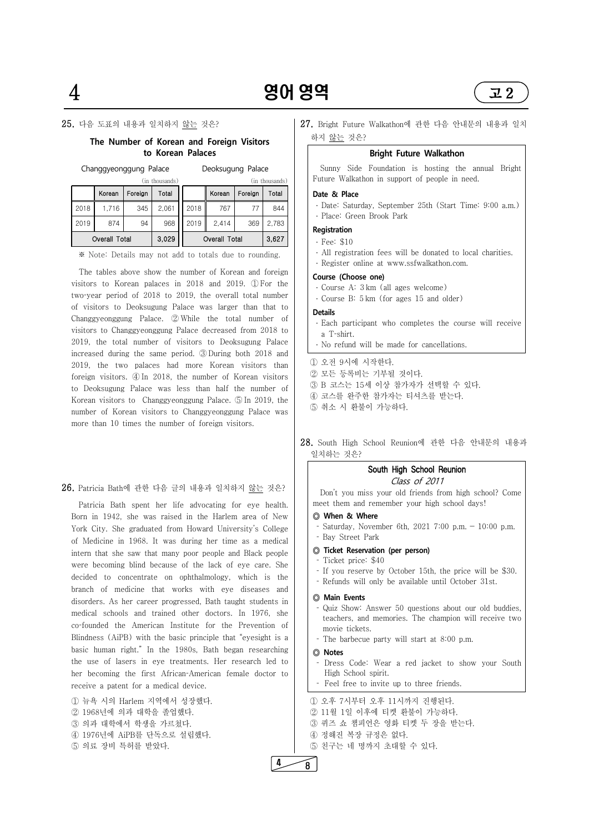

## 25. 다음 도표의 내용과 일치하지 않는 것은?

### **The Number of Korean and Foreign Visitors to Korean Palaces**

Changgyeonggung Palace Deoksugung Palace

|      | (in thousands)       |         |       |      | (in thousands) |         |       |  |
|------|----------------------|---------|-------|------|----------------|---------|-------|--|
|      | Korean               | Foreign | Total |      | Korean         | Foreign | Total |  |
| 2018 | 1.716                | 345     | 2,061 | 2018 | 767            |         | 844   |  |
| 2019 | 874                  | 94      | 968   | 2019 | 2,414          | 369     | 2,783 |  |
|      | <b>Overall Total</b> |         | 3,029 |      | Overall Total  |         | 3,627 |  |

※ Note: Details may not add to totals due to rounding.

 Patricia Bath spent her life advocating for eye health. Born in 1942, she was raised in the Harlem area of New York City. She graduated from Howard University's College of Medicine in 1968. It was during her time as a medical intern that she saw that many poor people and Black people were becoming blind because of the lack of eye care. She decided to concentrate on ophthalmology, which is the branch of medicine that works with eye diseases and disorders. As her career progressed, Bath taught students in medical schools and trained other doctors. In 1976, she co-founded the American Institute for the Prevention of

The tables above show the number of Korean and foreign visitors to Korean palaces in 2018 and 2019. ① For the two-year period of 2018 to 2019, the overall total number of visitors to Deoksugung Palace was larger than that to Changgyeonggung Palace. ② While the total number of visitors to Changgyeonggung Palace decreased from 2018 to 2019, the total number of visitors to Deoksugung Palace increased during the same period. ③ During both 2018 and 2019, the two palaces had more Korean visitors than foreign visitors. ④ In 2018, the number of Korean visitors to Deoksugung Palace was less than half the number of Korean visitors to Changgyeonggung Palace. ⑤ In 2019, the number of Korean visitors to Changgyeonggung Palace was more than 10 times the number of foreign visitors.

27. Bright Future Walkathon에 관한 다음 안내문의 내용과 일치 하지 <u>않는</u> 것은?

#### 26. Patricia Bath에 관한 다음 글의 내용과 일치하지 않는 것은?

- Dress Code: Wear a red jacket to show your South
- High School spirit.<br>- Feel free to invite up to three friends.

① 오후 7시부터 오후 11시까지 진행된다. ② 11월 1일 이후에 티켓 환불이 가능하다. ③ 퀴즈 쇼 챔피언은 영화 티켓 두 장을 받는다. ④ 정해진 복장 규정은 없다.<br>⑤ 친구는 네 명까지 초대할 수 있다.

Blindness (AiPB) with the basic principle that "eyesight is a basic human right." In the 1980s, Bath began researching the use of lasers in eye treatments. Her research led to her becoming the first African-American female doctor to receive a patent for a medical device.

① 뉴욕 시의 Harlem 지역에서 성장했다. ② 1968년에 의과 대학을 졸업했다. ③ 의과 대학에서 학생을 가르쳤다.<br>④ 1976년에 AiPB를 단독으로 설립했다. ⑤ 의료 장비 특허를 받았다.

movie tickets.<br>The barbecue party will start at 8:00 p.m.

#### **Bright Future Walkathon**

 Sunny Side Foundation is hosting the annual Bright Future Walkathon in support of people in need.

#### **Date & Place**

- ․ Date: Saturday, September 25th (Start Time: 9:00 a.m.)
- ․ Place: Green Brook Park

#### **Registration**

- ․ Fee: \$10
- ․ All registration fees will be donated to local charities.
- ․ Register online at www.ssfwalkathon.com.

#### **Course (Choose one)**

- ․ Course A: 3 km (all ages welcome)
- ․ Course B: 5 km (for ages 15 and older)

#### **Details**

- ․ Each participant who completes the course will receive a T-shirt.
- ․ No refund will be made for cancellations.

#### ① 오전 9시에 시작한다.

- ② 모든 등록비는 기부될 것이다.
- ③ B 코스는 15세 이상 참가자가 선택할 수 있다.
- ④ 코스를 완주한 참가자는 티셔츠를 받는다.
- ⑤ 취소 시 환불이 가능하다.

## 28. South High School Reunion에 관한 다음 안내문의 내용과 일치하는 것은?

#### South High School Reunion

### Class of 2011

 Don't you miss your old friends from high school? Come meet them and remember your high school days!

- **◎ When & Where**
- Saturday, November 6th, 2021 7:00 p.m.  $-$  10:00 p.m. Bay Street Park

#### **◎ Ticket Reservation (per person)**

- Ticket price: \$40
- If you reserve by October 15th, the price will be \$30. Refunds will only be available until October 31st.
- 

#### **◎ Main Events**

 Quiz Show: Answer 50 questions about our old buddies, teachers, and memories. The champion will receive two

#### **◎ Notes**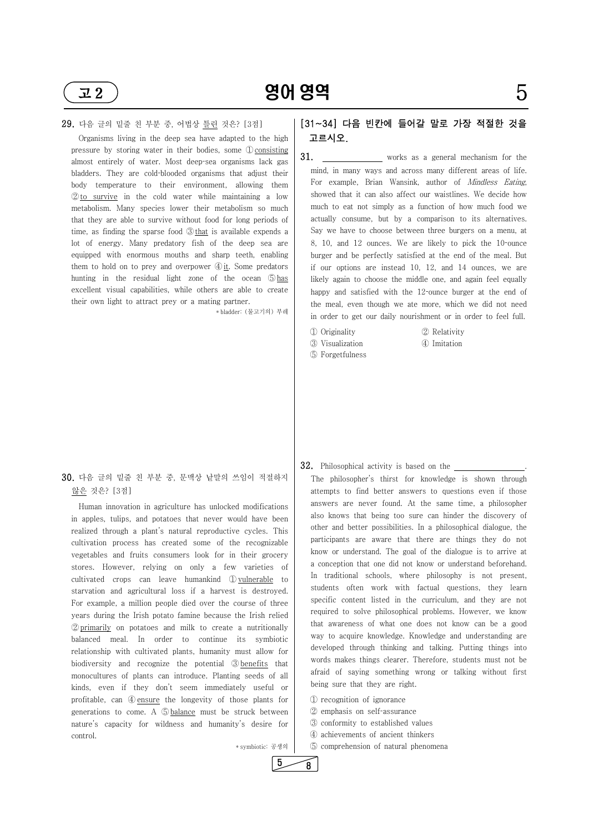#### 29. 다음 글의 밑줄 친 부분 중, 어법상 틀린 것은? [3점]

 Organisms living in the deep sea have adapted to the high pressure by storing water in their bodies, some  $\mathbb{D}$  consisting 31. almost entirely of water. Most deep-sea organisms lack gas bladders. They are cold-blooded organisms that adjust their ②to survive in the cold water while maintaining a low metabolism. Many species lower their metabolism so much that they are able to survive without food for long periods of time, as finding the sparse food  $\mathcal{D}$  that is available expends a lot of energy. Many predatory fish of the deep sea are equipped with enormous mouths and sharp teeth, enabling them to hold on to prey and overpower  $\mathcal{D}_{\text{it}}$ . Some predators hunting in the residual light zone of the ocean ⑤has excellent visual capabilities, while others are able to create their own light to attract prey or a mating partner.

\* bladder: (물고기의) 부레

# 30. 다음 글의 밑줄 친 부분 중, 문맥상 낱말의 쓰임이 적절하지 않은 것은? [3점]

body temperature to their environment, allowing them For example, Brian Wansink, author of Mindless Eating, works as a general mechanism for the mind, in many ways and across many different areas of life. showed that it can also affect our waistlines. We decide how much to eat not simply as a function of how much food we actually consume, but by a comparison to its alternatives. Say we have to choose between three burgers on a menu, at 8, 10, and 12 ounces. We are likely to pick the  $10$ -ounce burger and be perfectly satisfied at the end of the meal. But if our options are instead 10, 12, and 14 ounces, we are likely again to choose the middle one, and again feel equally happy and satisfied with the  $12$ -ounce burger at the end of the meal, even though we ate more, which we did not need in order to get our daily nourishment or in order to feel full.

 Human innovation in agriculture has unlocked modifications in apples, tulips, and potatoes that never would have been realized through a plant's natural reproductive cycles. This cultivation process has created some of the recognizable vegetables and fruits consumers look for in their grocery stores. However, relying on only a few varieties of cultivated crops can leave humankind ① vulnerable to starvation and agricultural loss if a harvest is destroyed. For example, a million people died over the course of three years during the Irish potato famine because the Irish relied ② primarily on potatoes and milk to create a nutritionally balanced meal. In order to continue its symbiotic relationship with cultivated plants, humanity must allow for biodiversity and recognize the potential ③ benefits that monocultures of plants can introduce. Planting seeds of all kinds, even if they don't seem immediately useful or profitable, can ④ ensure the longevity of those plants for generations to come. A ⑤ balance must be struck between nature's capacity for wildness and humanity's desire for control.

**32.** Philosophical activity is based on the <u>secondal set of the philosopher's</u> thirst for knowledge is shown through attempts to find better answers to questions even if those answers are never found. At the same time, a philosopher also knows that being too sure can hinder the discovery of other and better possibilities. In a philosophical dialogue, the participants are aware that there are things they do not know or understand. The goal of the dialogue is to arrive at a conception that one did not know or understand beforehand. In traditional schools, where philosophy is not present, students often work with factual questions, they learn specific content listed in the curriculum, and they are not required to solve philosophical problems. However, we know that awareness of what one does not know can be a good

\* symbiotic: 공생의

 $5 \overline{\smash)8}$ 

# [31~34] 다음 빈칸에 들어갈 말로 가장 적절한 것을 고르시오.

① Originality ② Relativity ③ Visualization ④ Imitation

- 
- ⑤ Forgetfulness

way to acquire knowledge. Knowledge and understanding are developed through thinking and talking. Putting things into words makes things clearer. Therefore, students must not be afraid of saying something wrong or talking without first being sure that they are right.

① recognition of ignorance 2 emphasis on self-assurance ③ conformity to established values ④ achievements of ancient thinkers ⑤ comprehension of natural phenomena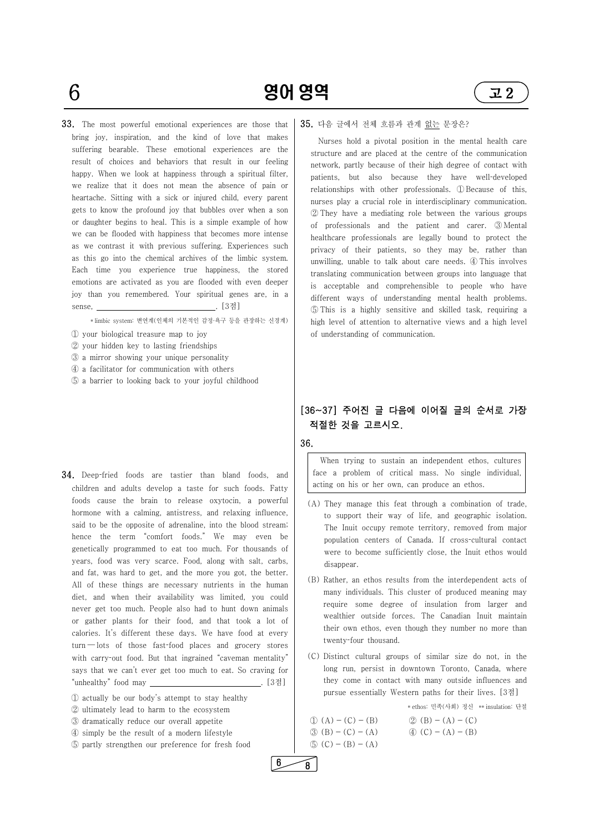$6$  영어 영역 22

33. The most powerful emotional experiences are those that bring joy, inspiration, and the kind of love that makes suffering bearable. These emotional experiences are the result of choices and behaviors that result in our feeling happy. When we look at happiness through a spiritual filter, we realize that it does not mean the absence of pain or heartache. Sitting with a sick or injured child, every parent gets to know the profound joy that bubbles over when a son or daughter begins to heal. This is a simple example of how we can be flooded with happiness that becomes more intense as we contrast it with previous suffering. Experiences such as this go into the chemical archives of the limbic system. Each time you experience true happiness, the stored emotions are activated as you are flooded with even deeper joy than you remembered. Your spiritual genes are, in a sense, . [3점]

\* limbic system: 변연계(인체의 기본적인 감정·욕구 등을 관장하는 신경계)

**34.** Deep-fried foods are tastier than bland foods, and children and adults develop a taste for such foods. Fatty foods cause the brain to release oxytocin, a powerful hormone with a calming, antistress, and relaxing influence, said to be the opposite of adrenaline, into the blood stream; hence the term "comfort foods." We may even be genetically programmed to eat too much. For thousands of years, food was very scarce. Food, along with salt, carbs, and fat, was hard to get, and the more you got, the better. All of these things are necessary nutrients in the human diet, and when their availability was limited, you could never get too much. People also had to hunt down animals or gather plants for their food, and that took a lot of

- ① your biological treasure map to joy
- ② your hidden key to lasting friendships
- ③ a mirror showing your unique personality
- ④ a facilitator for communication with others
- ⑤ a barrier to looking back to your joyful childhood

calories. It's different these days. We have food at every  $turn - lots$  of those fast-food places and grocery stores with carry-out food. But that ingrained "caveman mentality" says that we can't ever get too much to eat. So craving for "unhealthy" food may . [3점]

① actually be our body's attempt to stay healthy ② ultimately lead to harm to the ecosystem ③ dramatically reduce our overall appetite ④ simply be the result of a modern lifestyle ⑤ partly strengthen our preference for fresh food twenty-four thousand.

#### 35. 다음 글에서 전체 흐름과 관계 없는 문장은?

 Nurses hold a pivotal position in the mental health care structure and are placed at the centre of the communication network, partly because of their high degree of contact with patients, but also because they have well-developed relationships with other professionals. ① Because of this, nurses play a crucial role in interdisciplinary communication. ② They have a mediating role between the various groups of professionals and the patient and carer. ③ Mental healthcare professionals are legally bound to protect the privacy of their patients, so they may be, rather than unwilling, unable to talk about care needs. ④ This involves translating communication between groups into language that is acceptable and comprehensible to people who have different ways of understanding mental health problems. ⑤ This is a highly sensitive and skilled task, requiring a high level of attention to alternative views and a high level of understanding of communication.

# [36~37] 주어진 글 다음에 이어질 글의 순서로 가장 적절한 것을 고르시오.

36.

When trying to sustain an independent ethos, cultures face a problem of critical mass. No single individual, acting on his or her own, can produce an ethos.

- (A) They manage this feat through a combination of trade, to support their way of life, and geographic isolation. The Inuit occupy remote territory, removed from major population centers of Canada. If cross-cultural contact were to become sufficiently close, the Inuit ethos would disappear.
- (B) Rather, an ethos results from the interdependent acts of many individuals. This cluster of produced meaning may require some degree of insulation from larger and wealthier outside forces. The Canadian Inuit maintain their own ethos, even though they number no more than

 (C) Distinct cultural groups of similar size do not, in the long run, persist in downtown Toronto, Canada, where they come in contact with many outside influences and pursue essentially Western paths for their lives. [3점]

\* ethos: 민족(사회) 정신 \*\* insulation: 단절

| $\mathbb{D}(A) - (C) - (B)$       | (2) |
|-----------------------------------|-----|
| $(3)(B) - (C) - (A)$              | (4) |
| $\textcircled{5}$ (C) – (B) – (A) |     |

 $6 \fbox{8}$ 

 $(B) - (A) - (C)$  $(C) - (A) - (B)$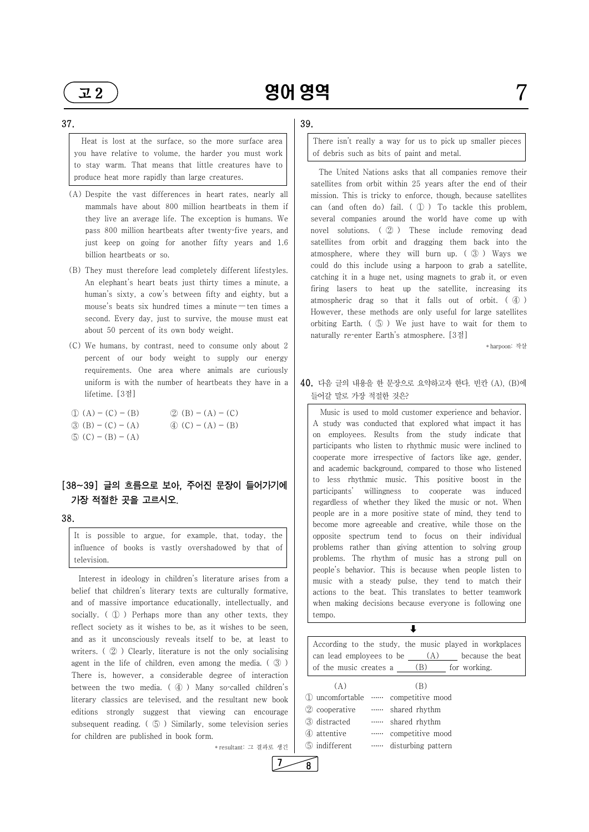#### 37.

- (A) Despite the vast differences in heart rates, nearly all mammals have about 800 million heartbeats in them if they live an average life. The exception is humans. We pass 800 million heartbeats after twenty-five years, and just keep on going for another fifty years and 1.6 billion heartbeats or so.
- (B) They must therefore lead completely different lifestyles. An elephant's heart beats just thirty times a minute, a human's sixty, a cow's between fifty and eighty, but a mouse's beats six hundred times a minute — ten times a second. Every day, just to survive, the mouse must eat about 50 percent of its own body weight.
- (C) We humans, by contrast, need to consume only about 2 percent of our body weight to supply our energy requirements. One area where animals are curiously uniform is with the number of heartbeats they have in a lifetime. [3점]
- $\textcircled{1}$  (A) (C) (B)  $\textcircled{2}$  (B) (A) (C)  $\textcircled{3}$  (B) - (C) - (A)  $\textcircled{4}$  (C) - (A) - (B)  $\circled{5}$  (C) – (B) – (A)

 Heat is lost at the surface, so the more surface area you have relative to volume, the harder you must work to stay warm. That means that little creatures have to produce heat more rapidly than large creatures.

# $[38~39]$  글의 흐름으로 보아, 주어진 문장이 들어가기에  $\bigcup_{\text{participants}}$ 가장 적절한 곳을 고르시오.

 The United Nations asks that all companies remove their satellites from orbit within 25 years after the end of their mission. This is tricky to enforce, though, because satellites can (and often do) fail. ( ① ) To tackle this problem, several companies around the world have come up with novel solutions. ( ② ) These include removing dead satellites from orbit and dragging them back into the atmosphere, where they will burn up. ( ③ ) Ways we could do this include using a harpoon to grab a satellite, catching it in a huge net, using magnets to grab it, or even firing lasers to heat up the satellite, increasing its atmospheric drag so that it falls out of orbit. ( ④ ) However, these methods are only useful for large satellites orbiting Earth. ( ⑤ ) We just have to wait for them to naturally re-enter Earth's atmosphere. [3점]

38.

It is possible to argue, for example, that, today, the influence of books is vastly overshadowed by that of television.

Interest in ideology in children's literature arises from a belief that children's literary texts are culturally formative, and of massive importance educationally, intellectually, and socially. (  $\oplus$  ) Perhaps more than any other texts, they reflect society as it wishes to be, as it wishes to be seen, and as it unconsciously reveals itself to be, at least to writers. (  $\circled{2}$  ) Clearly, literature is not the only socialising agent in the life of children, even among the media. ( ③ ) There is, however, a considerable degree of interaction between the two media.  $(\mathcal{A})$  Many so-called children's literary classics are televised, and the resultant new book  $\Box$  uncomfortable editions strongly suggest that viewing can encourage subsequent reading. ( $\circled{5}$ ) Similarly, some television series  $\circled{3}$  distracted for children are published in book form.

 $7 \rightarrow 8$ 

\* resultant: 그 결과로 생긴

#### $\downarrow$

# 39.

There isn't really a way for us to pick up smaller pieces of debris such as bits of paint and metal.

\* harpoon: 작살

# 40. 다음 글의 내용을 한 문장으로 요약하고자 한다. 빈칸 (A), (B)에 들어갈 말로 가장 적절한 것은?

 Music is used to mold customer experience and behavior. A study was conducted that explored what impact it has on employees. Results from the study indicate that participants who listen to rhythmic music were inclined to cooperate more irrespective of factors like age, gender, and academic background, compared to those who listened to less rhythmic music. This positive boost in the willingness to cooperate was induced regardless of whether they liked the music or not. When people are in a more positive state of mind, they tend to become more agreeable and creative, while those on the opposite spectrum tend to focus on their individual problems rather than giving attention to solving group problems. The rhythm of music has a strong pull on people's behavior. This is because when people listen to music with a steady pulse, they tend to match their actions to the beat. This translates to better teamwork when making decisions because everyone is following one tempo.

| According to the study, the music played in workplaces |     |                  |  |
|--------------------------------------------------------|-----|------------------|--|
| can lead employees to be                               | (A) | because the beat |  |
| of the music creates a                                 | (B) | for working.     |  |

 $(A)$  (B) …… competitive mood ② cooperative …… shared rhythm …… shared rhythm ④ attentive …… competitive mood disturbing pattern